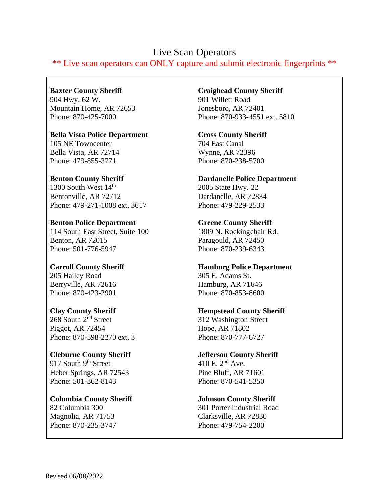# Live Scan Operators

\*\* Live scan operators can ONLY capture and submit electronic fingerprints \*\*

**Baxter County Sheriff** 904 Hwy. 62 W. Mountain Home, AR 72653 Phone: 870-425-7000

**Bella Vista Police Department** 105 NE Towncenter Bella Vista, AR 72714 Phone: 479-855-3771

**Benton County Sheriff** 1300 South West  $14<sup>th</sup>$ Bentonville, AR 72712 Phone: 479-271-1008 ext. 3617

**Benton Police Department** 114 South East Street, Suite 100 Benton, AR 72015 Phone: 501-776-5947

**Carroll County Sheriff** 205 Hailey Road Berryville, AR 72616 Phone: 870-423-2901

**Clay County Sheriff** 268 South 2<sup>nd</sup> Street Piggot, AR 72454 Phone: 870-598-2270 ext. 3

**Cleburne County Sheriff** 917 South 9<sup>th</sup> Street Heber Springs, AR 72543 Phone: 501-362-8143

**Columbia County Sheriff** 82 Columbia 300 Magnolia, AR 71753 Phone: 870-235-3747

**Craighead County Sheriff**

901 Willett Road Jonesboro, AR 72401 Phone: 870-933-4551 ext. 5810

**Cross County Sheriff** 704 East Canal Wynne, AR 72396 Phone: 870-238-5700

**Dardanelle Police Department** 2005 State Hwy. 22 Dardanelle, AR 72834 Phone: 479-229-2533

# **Greene County Sheriff**

1809 N. Rockingchair Rd. Paragould, AR 72450 Phone: 870-239-6343

## **Hamburg Police Department**

305 E. Adams St. Hamburg, AR 71646 Phone: 870-853-8600

## **Hempstead County Sheriff**

312 Washington Street Hope, AR 71802 Phone: 870-777-6727

#### **Jefferson County Sheriff** 410 E. 2nd Ave.

Pine Bluff, AR 71601 Phone: 870-541-5350

**Johnson County Sheriff**

301 Porter Industrial Road Clarksville, AR 72830 Phone: 479-754-2200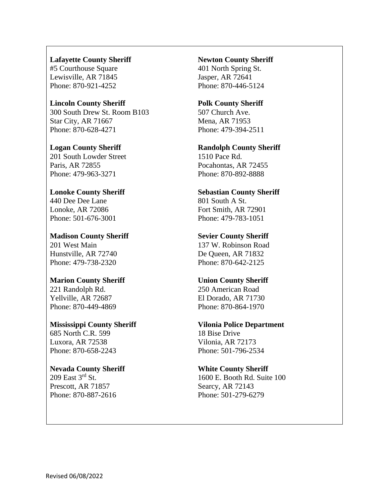#### **Lafayette County Sheriff**

#5 Courthouse Square Lewisville, AR 71845 Phone: 870-921-4252

#### **Lincoln County Sheriff** 300 South Drew St. Room B103 Star City, AR 71667 Phone: 870-628-4271

**Logan County Sheriff** 201 South Lowder Street Paris, AR 72855 Phone: 479-963-3271

### **Lonoke County Sheriff** 440 Dee Dee Lane Lonoke, AR 72086 Phone: 501-676-3001

**Madison County Sheriff** 201 West Main Hunstville, AR 72740 Phone: 479-738-2320

#### **Marion County Sheriff** 221 Randolph Rd. Yellville, AR 72687 Phone: 870-449-4869

**Mississippi County Sheriff** 685 North C.R. 599 Luxora, AR 72538 Phone: 870-658-2243

# **Nevada County Sheriff**

209 East 3rd St. Prescott, AR 71857 Phone: 870-887-2616

#### **Newton County Sheriff**

401 North Spring St. Jasper, AR 72641 Phone: 870-446-5124

# **Polk County Sheriff**

507 Church Ave. Mena, AR 71953 Phone: 479-394-2511

# **Randolph County Sheriff**

1510 Pace Rd. Pocahontas, AR 72455 Phone: 870-892-8888

# **Sebastian County Sheriff**

801 South A St. Fort Smith, AR 72901 Phone: 479-783-1051

## **Sevier County Sheriff**

137 W. Robinson Road De Queen, AR 71832 Phone: 870-642-2125

## **Union County Sheriff**

250 American Road El Dorado, AR 71730 Phone: 870-864-1970

# **Vilonia Police Department**

18 Bise Drive Vilonia, AR 72173 Phone: 501-796-2534

## **White County Sheriff**

1600 E. Booth Rd. Suite 100 Searcy, AR 72143 Phone: 501-279-6279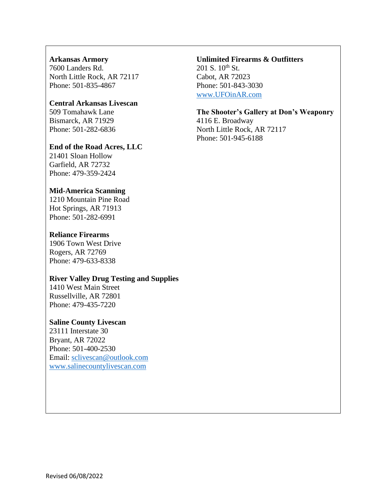## **Arkansas Armory**

7600 Landers Rd. North Little Rock, AR 72117 Phone: 501-835-4867

#### **Central Arkansas Livescan**

509 Tomahawk Lane Bismarck, AR 71929 Phone: 501-282-6836

#### **End of the Road Acres, LLC**

21401 Sloan Hollow Garfield, AR 72732 Phone: 479-359-2424

#### **Mid-America Scanning**

1210 Mountain Pine Road Hot Springs, AR 71913 Phone: 501-282-6991

### **Reliance Firearms**

1906 Town West Drive Rogers, AR 72769 Phone: 479-633-8338

#### **River Valley Drug Testing and Supplies**

1410 West Main Street Russellville, AR 72801 Phone: 479-435-7220

#### **Saline County Livescan**

23111 Interstate 30 Bryant, AR 72022 Phone: 501-400-2530 Email: [sclivescan@outlook.com](mailto:sclivescan@outlook.com) [www.salinecountylivescan.com](http://www.salinecountylivescan.com/)

#### **Unlimited Firearms & Outfitters**  $201$  S.  $10^{th}$  St.

Cabot, AR 72023 Phone: 501-843-3030 [www.UFOinAR.com](http://www.ufoinar.com/)

### **The Shooter's Gallery at Don's Weaponry**

4116 E. Broadway North Little Rock, AR 72117 Phone: 501-945-6188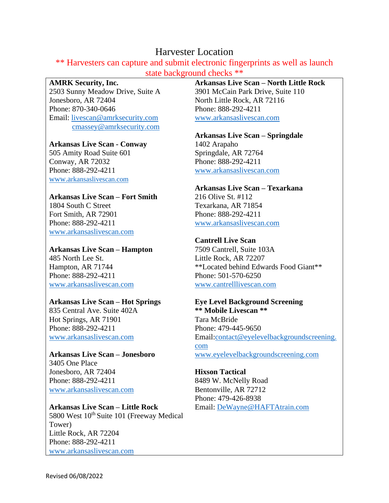# Harvester Location

\*\* Harvesters can capture and submit electronic fingerprints as well as launch state background checks \*\*

#### **AMRK Security, Inc.**

2503 Sunny Meadow Drive, Suite A Jonesboro, AR 72404 Phone: 870-340-0646 Email: [livescan@amrksecurity.com](mailto:livescan@amrksecurity.com) [cmassey@amrksecurity.com](mailto:cmassey@amrksecurity.com)

### **Arkansas Live Scan - Conway**

505 Amity Road Suite 601 Conway, AR 72032 Phone: 888-292-4211 [www.a](http://www.arkansaslivescan.com/)[rkansaslivescan.com](http://www.arkansaslivescan.com/)

### **Arkansas Live Scan – Fort Smith**

1804 South C Street Fort Smith, AR 72901 Phone: 888-292-4211 [www.arkansaslivescan.com](http://www.arkansaslivescan.com/)

# **Arkansas Live Scan – Hampton**

485 North Lee St. Hampton, AR 71744 Phone: 888-292-4211 [www.arkansaslivescan.com](http://www.arkansaslivescan.com/)

## **Arkansas Live Scan – Hot Springs**

835 Central Ave. Suite 402A Hot Springs, AR 71901 Phone: 888-292-4211 [www.arkansaslivescan.com](http://www.arkansaslivescan.com/)

#### **Arkansas Live Scan – Jonesboro** 3405 One Place Jonesboro, AR 72404

Phone: 888-292-4211 [www.arkansaslivescan.com](http://www.arkansaslivescan.com/)

#### **Arkansas Live Scan – Little Rock** 5800 West 10<sup>th</sup> Suite 101 (Freeway Medical

Tower) Little Rock, AR 72204 Phone: 888-292-4211 [www.arkansaslivescan.com](http://www.arkansaslivescan.com/) **Arkansas Live Scan – North Little Rock** 3901 McCain Park Drive, Suite 110 North Little Rock, AR 72116 Phone: 888-292-4211 [www.arkansaslivescan.com](http://www.arkansaslivescan.com/)

#### **Arkansas Live Scan – Springdale** 1402 Arapaho Springdale, AR 72764 Phone: 888-292-4211

[www.arkansaslivescan.com](http://www.arkansaslivescan.com/)

# **Arkansas Live Scan – Texarkana**

216 Olive St. #112 Texarkana, AR 71854 Phone: 888-292-4211 [www.arkansaslivescan.com](http://www.arkansaslivescan.com/)

## **Cantrell Live Scan**

7509 Cantrell, Suite 103A Little Rock, AR 72207 \*\*Located behind Edwards Food Giant\*\* Phone: 501-570-6250 [www.cantrelllivescan.com](http://www.cantrelllivescan.com/)

## **Eye Level Background Screening**

**\*\* Mobile Livescan \*\*** Tara McBride Phone: 479-445-9650 Email[:contact@eyelevelbackgroundscreening.](mailto:contact@eyelevelbackgroundscreening.com) [com](mailto:contact@eyelevelbackgroundscreening.com) [www.eyelevelbackgroundscreening.com](http://www.eyelevelbackgroundscreening.com/)

## **Hixson Tactical** 8489 W. McNelly Road Bentonville, AR 72712 Phone: 479-426-8938 Email: [DeWayne@HAFTAtrain.com](mailto:DeWayne@HAFTAtrain.com)